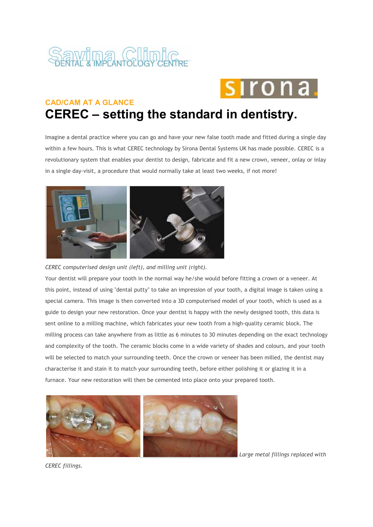

## ro n

## **CAD/CAM AT A GLANCE CEREC – setting the standard in dentistry.**

Imagine a dental practice where you can go and have your new false tooth made and fitted during a single day within a few hours. This is what CEREC technology by Sirona Dental Systems UK has made possible. CEREC is a revolutionary system that enables your dentist to design, fabricate and fit a new crown, veneer, onlay or inlay in a single day-visit, a procedure that would normally take at least two weeks, if not more!



*CEREC computerised design unit (left), and milling unit (right).*

Your dentist will prepare your tooth in the normal way he/she would before fitting a crown or a veneer. At this point, instead of using "dental putty" to take an impression of your tooth, a digital image is taken using a special camera. This image is then converted into a 3D computerised model of your tooth, which is used as a guide to design your new restoration. Once your dentist is happy with the newly designed tooth, this data is sent online to a milling machine, which fabricates your new tooth from a high-quality ceramic block. The milling process can take anywhere from as little as 6 minutes to 30 minutes depending on the exact technology and complexity of the tooth. The ceramic blocks come in a wide variety of shades and colours, and your tooth will be selected to match your surrounding teeth. Once the crown or veneer has been milled, the dentist may characterise it and stain it to match your surrounding teeth, before either polishing it or glazing it in a furnace. Your new restoration will then be cemented into place onto your prepared tooth.



 *Large metal fillings replaced with* 

*CEREC fillings.*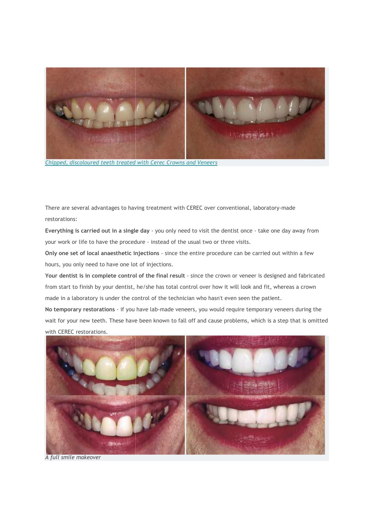

*Chipped, discoloured teeth treated with Cerec Crowns and Veneers*

There are several advantages to having treatment with CEREC over conventional, laboratory laboratory-made restorations:

**Everything is carried out in a single day** - you only need to visit the dentist once - take one day away from your work or life to have the procedure - instead of the usual two or three visits.

**Only one set of local anaesthetic injections** - since the entire procedure can be carried out within a few hours, you only need to have one lo t of injections.

**Your dentist is in complete control of the final result** - since the crown or veneer is designed and fabricated from start to finish by your dentist, he/she has total control over how it will look and fit, whereas a crown made in a laboratory is under the control of the technician who hasn't even seen the patient. made in a laboratory is under the control of the technician who hasn't even seen the patient.<br>**No temporary restorations** - if you have lab-made veneers, you would require temporary veneers during the - since the entire procedure can be<br>tions.<br>
nal result - since the crown or vene<br>
as total control over how it will look<br>
the technician who hasn't even seen<br>
made veneers, you would require te<br>
own to fall off and cause p

wait for your new teeth. These have been known to fall off and cause proble problems, which is a step that is omitted with CEREC restorations.



*A full smile makeover*